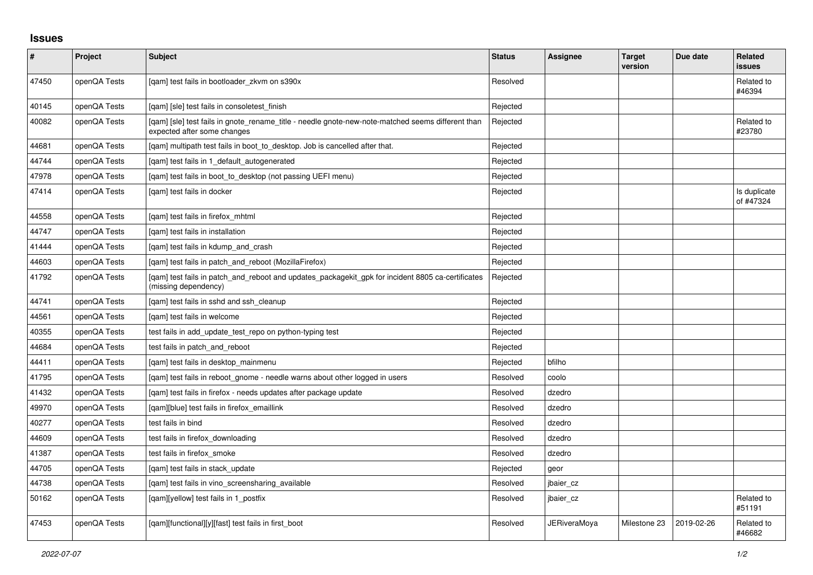## **Issues**

| #     | Project      | <b>Subject</b>                                                                                                                   | <b>Status</b> | <b>Assignee</b>     | <b>Target</b><br>version | Due date   | Related<br><b>issues</b>  |
|-------|--------------|----------------------------------------------------------------------------------------------------------------------------------|---------------|---------------------|--------------------------|------------|---------------------------|
| 47450 | openQA Tests | [gam] test fails in bootloader zkvm on s390x                                                                                     | Resolved      |                     |                          |            | Related to<br>#46394      |
| 40145 | openQA Tests | [gam] [sle] test fails in consoletest finish                                                                                     | Rejected      |                     |                          |            |                           |
| 40082 | openQA Tests | [qam] [sle] test fails in gnote_rename_title - needle gnote-new-note-matched seems different than<br>expected after some changes | Rejected      |                     |                          |            | Related to<br>#23780      |
| 44681 | openQA Tests | [gam] multipath test fails in boot_to_desktop. Job is cancelled after that.                                                      | Rejected      |                     |                          |            |                           |
| 44744 | openQA Tests | [gam] test fails in 1 default autogenerated                                                                                      | Rejected      |                     |                          |            |                           |
| 47978 | openQA Tests | [qam] test fails in boot_to_desktop (not passing UEFI menu)                                                                      | Rejected      |                     |                          |            |                           |
| 47414 | openQA Tests | [gam] test fails in docker                                                                                                       | Rejected      |                     |                          |            | Is duplicate<br>of #47324 |
| 44558 | openQA Tests | [qam] test fails in firefox_mhtml                                                                                                | Rejected      |                     |                          |            |                           |
| 44747 | openQA Tests | [gam] test fails in installation                                                                                                 | Rejected      |                     |                          |            |                           |
| 41444 | openQA Tests | [gam] test fails in kdump and crash                                                                                              | Rejected      |                     |                          |            |                           |
| 44603 | openQA Tests | [gam] test fails in patch and reboot (MozillaFirefox)                                                                            | Rejected      |                     |                          |            |                           |
| 41792 | openQA Tests | [qam] test fails in patch_and_reboot and updates_packagekit_gpk for incident 8805 ca-certificates<br>(missing dependency)        | Rejected      |                     |                          |            |                           |
| 44741 | openQA Tests | [gam] test fails in sshd and ssh cleanup                                                                                         | Rejected      |                     |                          |            |                           |
| 44561 | openQA Tests | [gam] test fails in welcome                                                                                                      | Rejected      |                     |                          |            |                           |
| 40355 | openQA Tests | test fails in add update test repo on python-typing test                                                                         | Rejected      |                     |                          |            |                           |
| 44684 | openQA Tests | test fails in patch and reboot                                                                                                   | Rejected      |                     |                          |            |                           |
| 44411 | openQA Tests | [qam] test fails in desktop_mainmenu                                                                                             | Rejected      | bfilho              |                          |            |                           |
| 41795 | openQA Tests | [gam] test fails in reboot gnome - needle warns about other logged in users                                                      | Resolved      | coolo               |                          |            |                           |
| 41432 | openQA Tests | [qam] test fails in firefox - needs updates after package update                                                                 | Resolved      | dzedro              |                          |            |                           |
| 49970 | openQA Tests | [qam][blue] test fails in firefox_emaillink                                                                                      | Resolved      | dzedro              |                          |            |                           |
| 40277 | openQA Tests | test fails in bind                                                                                                               | Resolved      | dzedro              |                          |            |                           |
| 44609 | openQA Tests | test fails in firefox downloading                                                                                                | Resolved      | dzedro              |                          |            |                           |
| 41387 | openQA Tests | test fails in firefox smoke                                                                                                      | Resolved      | dzedro              |                          |            |                           |
| 44705 | openQA Tests | [gam] test fails in stack update                                                                                                 | Rejected      | geor                |                          |            |                           |
| 44738 | openQA Tests | [qam] test fails in vino_screensharing_available                                                                                 | Resolved      | jbaier_cz           |                          |            |                           |
| 50162 | openQA Tests | [gam][yellow] test fails in 1 postfix                                                                                            | Resolved      | jbaier cz           |                          |            | Related to<br>#51191      |
| 47453 | openQA Tests | [qam][functional][y][fast] test fails in first_boot                                                                              | Resolved      | <b>JERiveraMoya</b> | Milestone 23             | 2019-02-26 | Related to<br>#46682      |